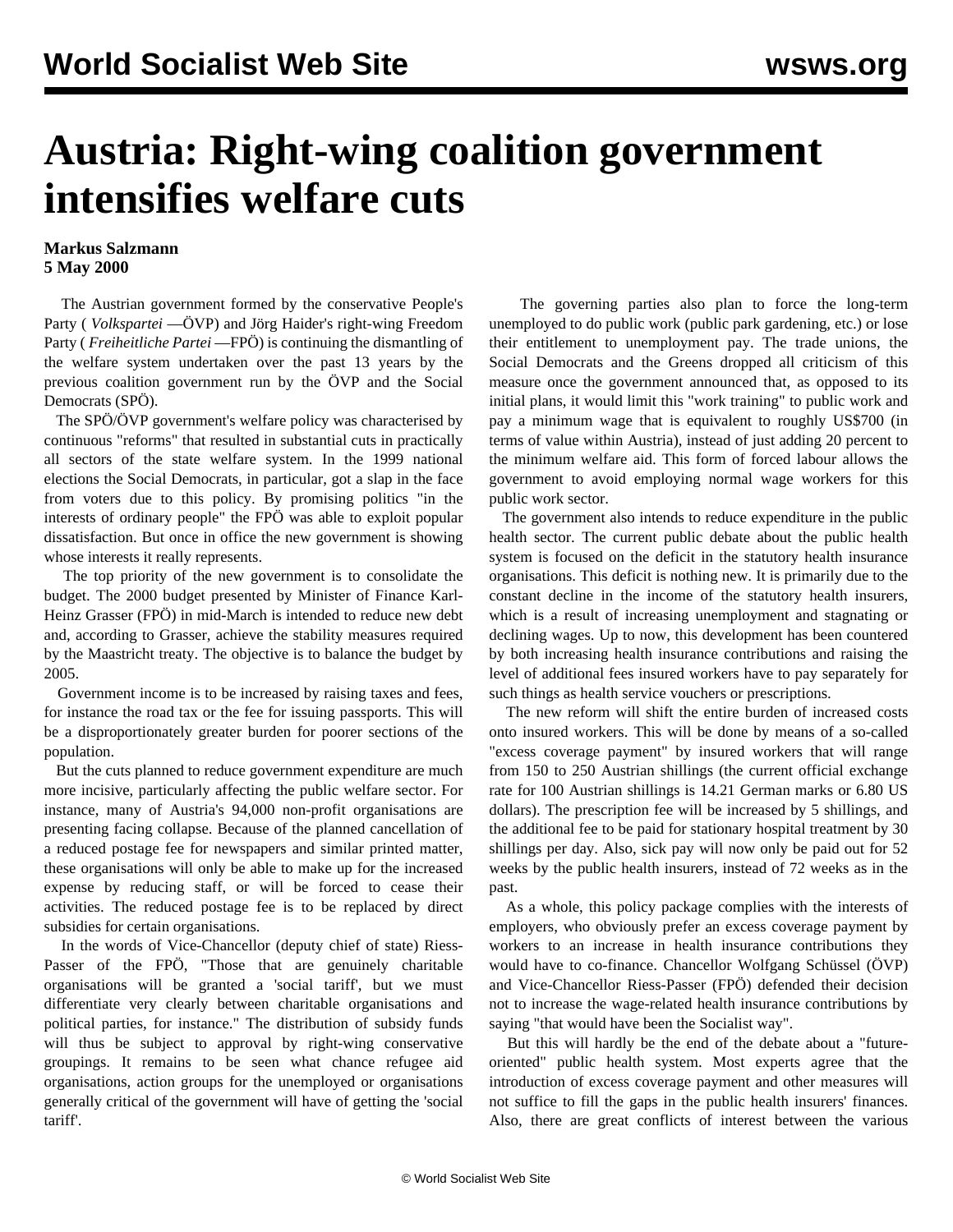## **Austria: Right-wing coalition government intensifies welfare cuts**

## **Markus Salzmann 5 May 2000**

 The Austrian government formed by the conservative People's Party ( *Volkspartei* —ÖVP) and Jörg Haider's right-wing Freedom Party ( *Freiheitliche Partei* —FPÖ) is continuing the dismantling of the welfare system undertaken over the past 13 years by the previous coalition government run by the ÖVP and the Social Democrats (SPÖ).

 The SPÖ/ÖVP government's welfare policy was characterised by continuous "reforms" that resulted in substantial cuts in practically all sectors of the state welfare system. In the 1999 national elections the Social Democrats, in particular, got a slap in the face from voters due to this policy. By promising politics "in the interests of ordinary people" the FPÖ was able to exploit popular dissatisfaction. But once in office the new government is showing whose interests it really represents.

 The top priority of the new government is to consolidate the budget. The 2000 budget presented by Minister of Finance Karl-Heinz Grasser (FPÖ) in mid-March is intended to reduce new debt and, according to Grasser, achieve the stability measures required by the Maastricht treaty. The objective is to balance the budget by 2005.

 Government income is to be increased by raising taxes and fees, for instance the road tax or the fee for issuing passports. This will be a disproportionately greater burden for poorer sections of the population.

 But the cuts planned to reduce government expenditure are much more incisive, particularly affecting the public welfare sector. For instance, many of Austria's 94,000 non-profit organisations are presenting facing collapse. Because of the planned cancellation of a reduced postage fee for newspapers and similar printed matter, these organisations will only be able to make up for the increased expense by reducing staff, or will be forced to cease their activities. The reduced postage fee is to be replaced by direct subsidies for certain organisations.

 In the words of Vice-Chancellor (deputy chief of state) Riess-Passer of the FPÖ, "Those that are genuinely charitable organisations will be granted a 'social tariff', but we must differentiate very clearly between charitable organisations and political parties, for instance." The distribution of subsidy funds will thus be subject to approval by right-wing conservative groupings. It remains to be seen what chance refugee aid organisations, action groups for the unemployed or organisations generally critical of the government will have of getting the 'social tariff'.

 The governing parties also plan to force the long-term unemployed to do public work (public park gardening, etc.) or lose their entitlement to unemployment pay. The trade unions, the Social Democrats and the Greens dropped all criticism of this measure once the government announced that, as opposed to its initial plans, it would limit this "work training" to public work and pay a minimum wage that is equivalent to roughly US\$700 (in terms of value within Austria), instead of just adding 20 percent to the minimum welfare aid. This form of forced labour allows the government to avoid employing normal wage workers for this public work sector.

 The government also intends to reduce expenditure in the public health sector. The current public debate about the public health system is focused on the deficit in the statutory health insurance organisations. This deficit is nothing new. It is primarily due to the constant decline in the income of the statutory health insurers, which is a result of increasing unemployment and stagnating or declining wages. Up to now, this development has been countered by both increasing health insurance contributions and raising the level of additional fees insured workers have to pay separately for such things as health service vouchers or prescriptions.

 The new reform will shift the entire burden of increased costs onto insured workers. This will be done by means of a so-called "excess coverage payment" by insured workers that will range from 150 to 250 Austrian shillings (the current official exchange rate for 100 Austrian shillings is 14.21 German marks or 6.80 US dollars). The prescription fee will be increased by 5 shillings, and the additional fee to be paid for stationary hospital treatment by 30 shillings per day. Also, sick pay will now only be paid out for 52 weeks by the public health insurers, instead of 72 weeks as in the past.

 As a whole, this policy package complies with the interests of employers, who obviously prefer an excess coverage payment by workers to an increase in health insurance contributions they would have to co-finance. Chancellor Wolfgang Schüssel (ÖVP) and Vice-Chancellor Riess-Passer (FPÖ) defended their decision not to increase the wage-related health insurance contributions by saying "that would have been the Socialist way".

 But this will hardly be the end of the debate about a "futureoriented" public health system. Most experts agree that the introduction of excess coverage payment and other measures will not suffice to fill the gaps in the public health insurers' finances. Also, there are great conflicts of interest between the various